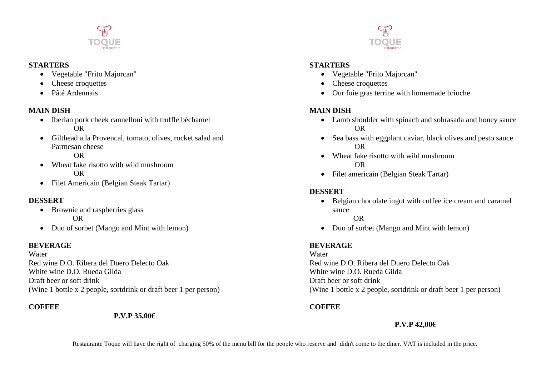

#### **STARTERS**

- Vegetable "Frito Majorcan"
- Cheese croquettes
- Pâté Ardennais

# **MAIN DISH**

- Iberian pork cheek cannelloni with truffle béchamel OR
- Gilthead a la Provencal, tomato, olives, rocket salad and Parmesan cheese

OR

- Wheat fake risotto with wild mushroom OR
- Filet Americain (Belgian Steak Tartar)

## **DESSERT**

- Brownie and raspberries glass OR
- Duo of sorbet (Mango and Mint with lemon)

# **BEVERAGE**

Water Red wine D.O. Ribera del Duero Delecto Oak White wine D.O. Rueda Gilda Draft beer or soft drink (Wine 1 bottle x 2 people, sortdrink or draft beer 1 per person)

# **COFFEE**

**P.V.P 35,00€**



### **STARTERS**

- Vegetable "Frito Majorcan"
- Cheese croquettes
- Our foie gras terrine with homemade brioche

# **MAIN DISH**

- Lamb shoulder with spinach and sobrasada and honey sauce OR
- Sea bass with eggplant caviar, black olives and pesto sauce OR
- Wheat fake risotto with wild mushroom OR
- Filet americain (Belgian Steak Tartar)

# **DESSERT**

 Belgian chocolate ingot with coffee ice cream and caramel sauce

OR

• Duo of sorbet (Mango and Mint with lemon)

# **BEVERAGE**

Water Red wine D.O. Ribera del Duero Delecto Oak White wine D.O. Rueda Gilda Draft beer or soft drink (Wine 1 bottle x 2 people, sortdrink or draft beer 1 per person)

# **COFFEE**

# **P.V.P 42,00€**

Restaurante Toque will have the right of charging 50% of the menu bill for the people who reserve and didn't come to the diner. VAT is included in the price.